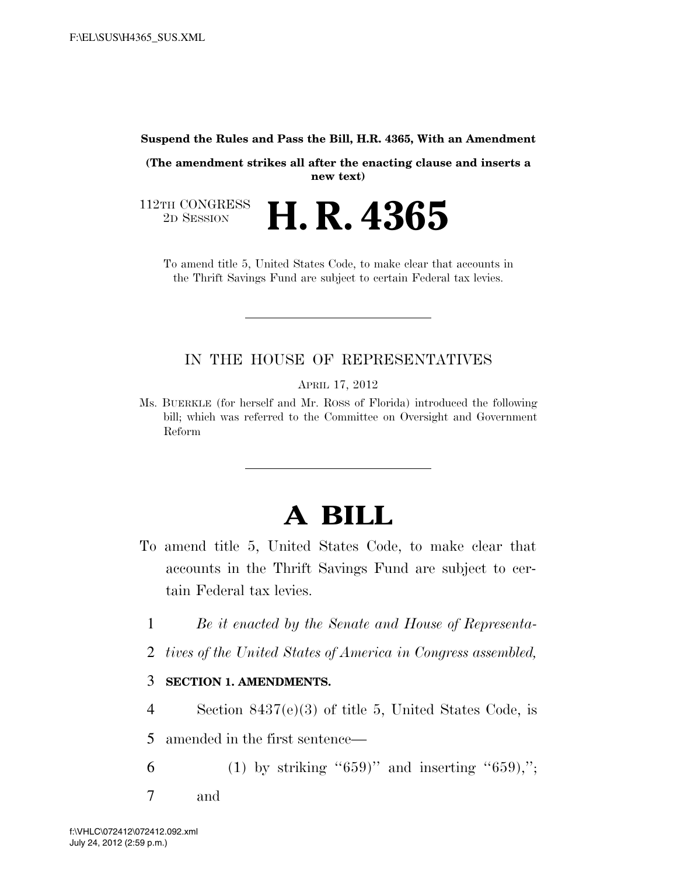#### **Suspend the Rules and Pass the Bill, H.R. 4365, With an Amendment**

**(The amendment strikes all after the enacting clause and inserts a new text)** 

112TH CONGRESS<br>2D SESSION 2D SESSION **H. R. 4365**

To amend title 5, United States Code, to make clear that accounts in the Thrift Savings Fund are subject to certain Federal tax levies.

### IN THE HOUSE OF REPRESENTATIVES

APRIL 17, 2012

Ms. BUERKLE (for herself and Mr. ROSS of Florida) introduced the following bill; which was referred to the Committee on Oversight and Government Reform

# **A BILL**

- To amend title 5, United States Code, to make clear that accounts in the Thrift Savings Fund are subject to certain Federal tax levies.
	- 1 *Be it enacted by the Senate and House of Representa-*
	- 2 *tives of the United States of America in Congress assembled,*

### 3 **SECTION 1. AMENDMENTS.**

4 Section 8437(e)(3) of title 5, United States Code, is

5 amended in the first sentence—

- 6 (1) by striking " $659$ " and inserting " $659$ ,";
- 7 and